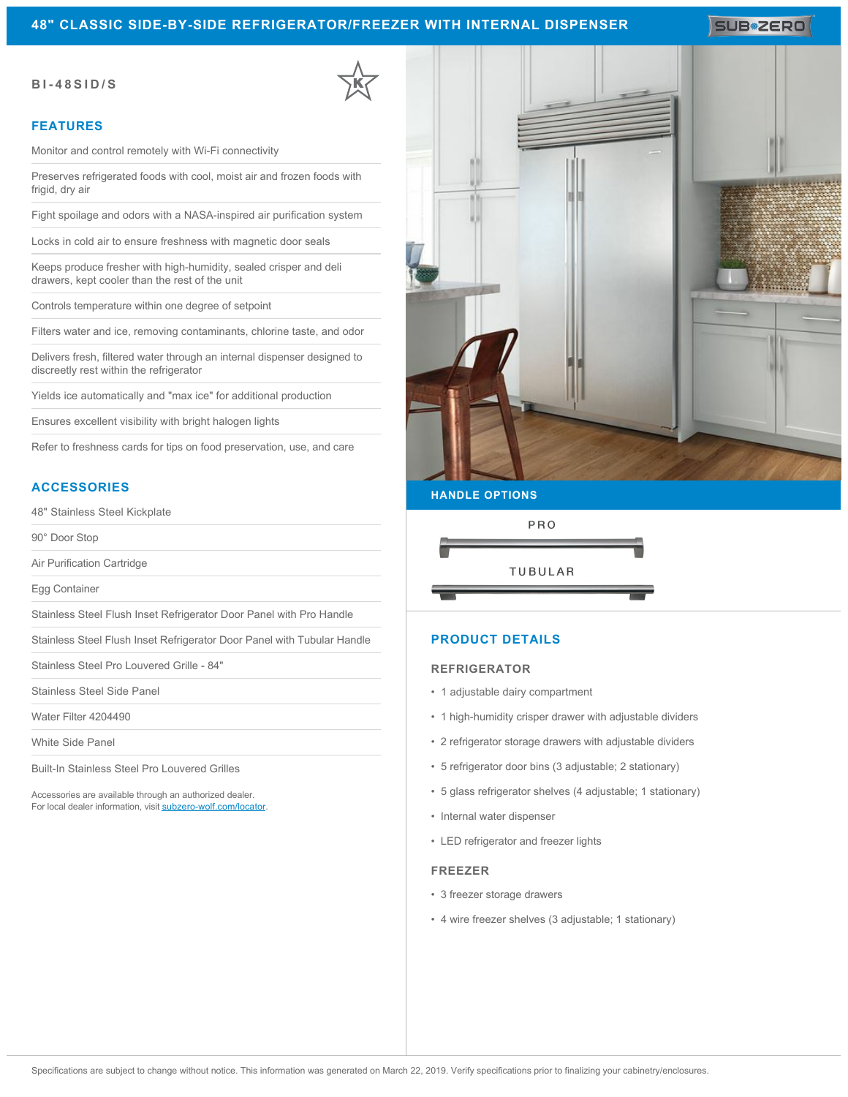## **48" CLASSIC SIDE-BY-SIDE REFRIGERATOR/FREEZER WITH INTERNAL DISPENSER**

SUB**\*ZERO** 

#### **BI-48SID/S**

#### **FEATURES**

Monitor and control remotely with Wi-Fi connectivity

Preserves refrigerated foods with cool, moist air and frozen foods with frigid, dry air

Fight spoilage and odors with a NASA-inspired air purification system

Locks in cold air to ensure freshness with magnetic door seals

Keeps produce fresher with high-humidity, sealed crisper and deli drawers, kept cooler than the rest of the unit

Controls temperature within one degree of setpoint

Filters water and ice, removing contaminants, chlorine taste, and odor

Delivers fresh, filtered water through an internal dispenser designed to discreetly rest within the refrigerator

Yields ice automatically and "max ice" for additional production

Ensures excellent visibility with bright halogen lights

Refer to freshness cards for tips on food preservation, use, and care

## **ACCESSORIES**

48" Stainless Steel Kickplate

90° Door Stop

Air Purification Cartridge

Egg Container

Stainless Steel Flush Inset Refrigerator Door Panel with Pro Handle

Stainless Steel Flush Inset Refrigerator Door Panel with Tubular Handle

Stainless Steel Pro Louvered Grille - 84"

Stainless Steel Side Panel

Water Filter 4204490

White Side Panel

Built-In Stainless Steel Pro Louvered Grilles

Accessories are available through an authorized dealer. For local dealer information, visit [subzero-wolf.com/locator.](http://www.subzero-wolf.com/locator)



#### **HANDLE OPTIONS**



#### **PRODUCT DETAILS**

#### **REFRIGERATOR**

- 1 adjustable dairy compartment
- 1 high-humidity crisper drawer with adjustable dividers
- 2 refrigerator storage drawers with adjustable dividers
- 5 refrigerator door bins (3 adjustable; 2 stationary)
- 5 glass refrigerator shelves (4 adjustable; 1 stationary)
- Internal water dispenser
- LED refrigerator and freezer lights

#### **FREEZER**

- 3 freezer storage drawers
- 4 wire freezer shelves (3 adjustable; 1 stationary)